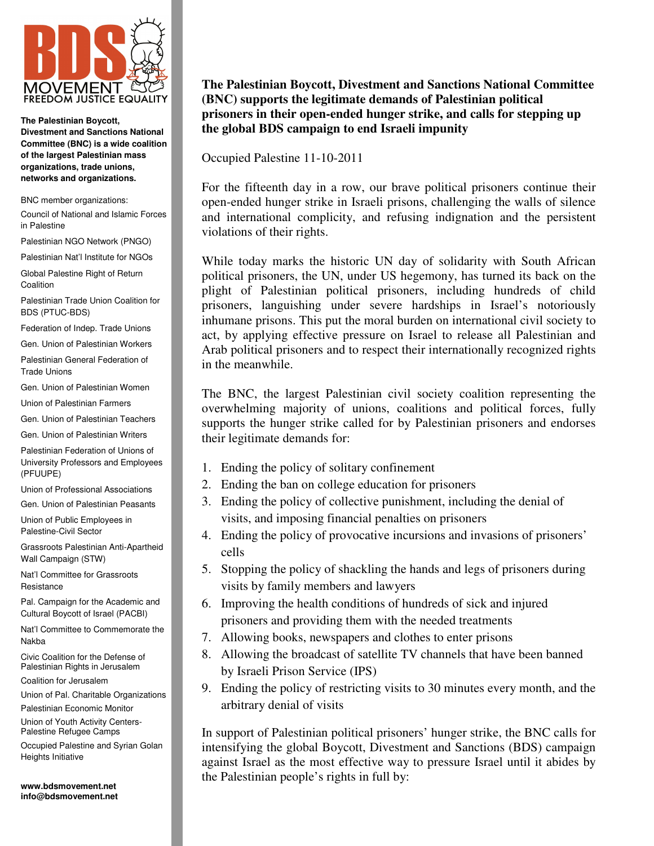

**The Palestinian Boycott, Divestment and Sanctions National Committee (BNC) is a wide coalition of the largest Palestinian mass organizations, trade unions, networks and organizations.** 

BNC member organizations:

Council of National and Islamic Forces in Palestine

Palestinian NGO Network (PNGO)

Palestinian Nat'l Institute for NGOs

Global Palestine Right of Return Coalition

Palestinian Trade Union Coalition for BDS (PTUC-BDS)

Federation of Indep. Trade Unions

Gen. Union of Palestinian Workers

Palestinian General Federation of Trade Unions

Gen. Union of Palestinian Women

Union of Palestinian Farmers

Gen. Union of Palestinian Teachers

Gen. Union of Palestinian Writers

Palestinian Federation of Unions of University Professors and Employees (PFUUPE)

Union of Professional Associations

Gen. Union of Palestinian Peasants

Union of Public Employees in Palestine-Civil Sector

Grassroots Palestinian Anti-Apartheid Wall Campaign (STW)

Nat'l Committee for Grassroots **Resistance** 

Pal. Campaign for the Academic and Cultural Boycott of Israel (PACBI)

Nat'l Committee to Commemorate the Nakba

Civic Coalition for the Defense of Palestinian Rights in Jerusalem

Coalition for Jerusalem

Union of Pal. Charitable Organizations

Palestinian Economic Monitor

Union of Youth Activity Centers-Palestine Refugee Camps

Occupied Palestine and Syrian Golan Heights Initiative

**www.bdsmovement.net info@bdsmovement.net** 

## **The Palestinian Boycott, Divestment and Sanctions National Committee (BNC) supports the legitimate demands of Palestinian political prisoners in their open-ended hunger strike, and calls for stepping up the global BDS campaign to end Israeli impunity**

Occupied Palestine 11-10-2011

For the fifteenth day in a row, our brave political prisoners continue their open-ended hunger strike in Israeli prisons, challenging the walls of silence and international complicity, and refusing indignation and the persistent violations of their rights.

While today marks the historic UN day of solidarity with South African political prisoners, the UN, under US hegemony, has turned its back on the plight of Palestinian political prisoners, including hundreds of child prisoners, languishing under severe hardships in Israel's notoriously inhumane prisons. This put the moral burden on international civil society to act, by applying effective pressure on Israel to release all Palestinian and Arab political prisoners and to respect their internationally recognized rights in the meanwhile.

The BNC, the largest Palestinian civil society coalition representing the overwhelming majority of unions, coalitions and political forces, fully supports the hunger strike called for by Palestinian prisoners and endorses their legitimate demands for:

- 1. Ending the policy of solitary confinement
- 2. Ending the ban on college education for prisoners
- 3. Ending the policy of collective punishment, including the denial of visits, and imposing financial penalties on prisoners
- 4. Ending the policy of provocative incursions and invasions of prisoners' cells
- 5. Stopping the policy of shackling the hands and legs of prisoners during visits by family members and lawyers
- 6. Improving the health conditions of hundreds of sick and injured prisoners and providing them with the needed treatments
- 7. Allowing books, newspapers and clothes to enter prisons
- 8. Allowing the broadcast of satellite TV channels that have been banned by Israeli Prison Service (IPS)
- 9. Ending the policy of restricting visits to 30 minutes every month, and the arbitrary denial of visits

In support of Palestinian political prisoners' hunger strike, the BNC calls for intensifying the global Boycott, Divestment and Sanctions (BDS) campaign against Israel as the most effective way to pressure Israel until it abides by the Palestinian people's rights in full by: